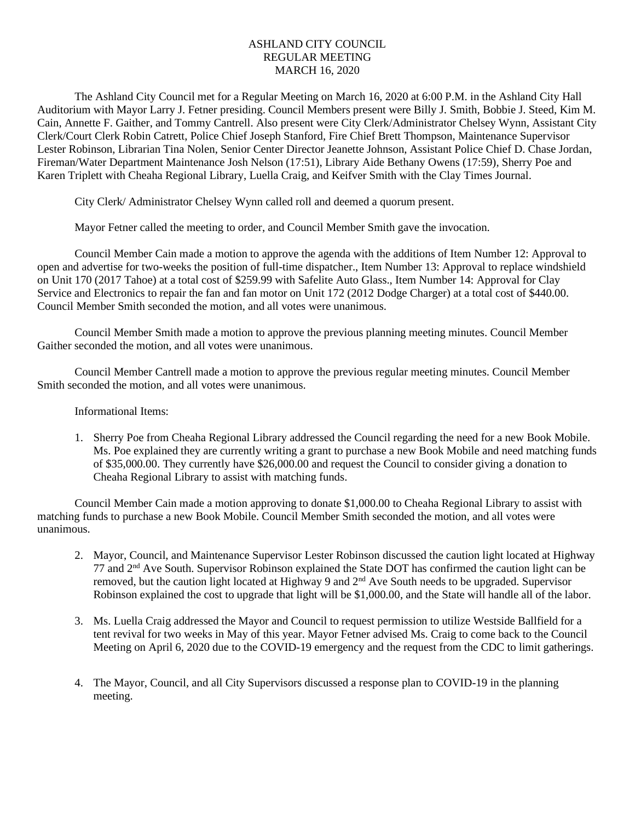## ASHLAND CITY COUNCIL REGULAR MEETING MARCH 16, 2020

The Ashland City Council met for a Regular Meeting on March 16, 2020 at 6:00 P.M. in the Ashland City Hall Auditorium with Mayor Larry J. Fetner presiding. Council Members present were Billy J. Smith, Bobbie J. Steed, Kim M. Cain, Annette F. Gaither, and Tommy Cantrell. Also present were City Clerk/Administrator Chelsey Wynn, Assistant City Clerk/Court Clerk Robin Catrett, Police Chief Joseph Stanford, Fire Chief Brett Thompson, Maintenance Supervisor Lester Robinson, Librarian Tina Nolen, Senior Center Director Jeanette Johnson, Assistant Police Chief D. Chase Jordan, Fireman/Water Department Maintenance Josh Nelson (17:51), Library Aide Bethany Owens (17:59), Sherry Poe and Karen Triplett with Cheaha Regional Library, Luella Craig, and Keifver Smith with the Clay Times Journal.

City Clerk/ Administrator Chelsey Wynn called roll and deemed a quorum present.

Mayor Fetner called the meeting to order, and Council Member Smith gave the invocation.

Council Member Cain made a motion to approve the agenda with the additions of Item Number 12: Approval to open and advertise for two-weeks the position of full-time dispatcher., Item Number 13: Approval to replace windshield on Unit 170 (2017 Tahoe) at a total cost of \$259.99 with Safelite Auto Glass., Item Number 14: Approval for Clay Service and Electronics to repair the fan and fan motor on Unit 172 (2012 Dodge Charger) at a total cost of \$440.00. Council Member Smith seconded the motion, and all votes were unanimous.

Council Member Smith made a motion to approve the previous planning meeting minutes. Council Member Gaither seconded the motion, and all votes were unanimous.

Council Member Cantrell made a motion to approve the previous regular meeting minutes. Council Member Smith seconded the motion, and all votes were unanimous.

Informational Items:

1. Sherry Poe from Cheaha Regional Library addressed the Council regarding the need for a new Book Mobile. Ms. Poe explained they are currently writing a grant to purchase a new Book Mobile and need matching funds of \$35,000.00. They currently have \$26,000.00 and request the Council to consider giving a donation to Cheaha Regional Library to assist with matching funds.

Council Member Cain made a motion approving to donate \$1,000.00 to Cheaha Regional Library to assist with matching funds to purchase a new Book Mobile. Council Member Smith seconded the motion, and all votes were unanimous.

- 2. Mayor, Council, and Maintenance Supervisor Lester Robinson discussed the caution light located at Highway 77 and  $2<sup>nd</sup>$  Ave South. Supervisor Robinson explained the State DOT has confirmed the caution light can be removed, but the caution light located at Highway 9 and 2<sup>nd</sup> Ave South needs to be upgraded. Supervisor Robinson explained the cost to upgrade that light will be \$1,000.00, and the State will handle all of the labor.
- 3. Ms. Luella Craig addressed the Mayor and Council to request permission to utilize Westside Ballfield for a tent revival for two weeks in May of this year. Mayor Fetner advised Ms. Craig to come back to the Council Meeting on April 6, 2020 due to the COVID-19 emergency and the request from the CDC to limit gatherings.
- 4. The Mayor, Council, and all City Supervisors discussed a response plan to COVID-19 in the planning meeting.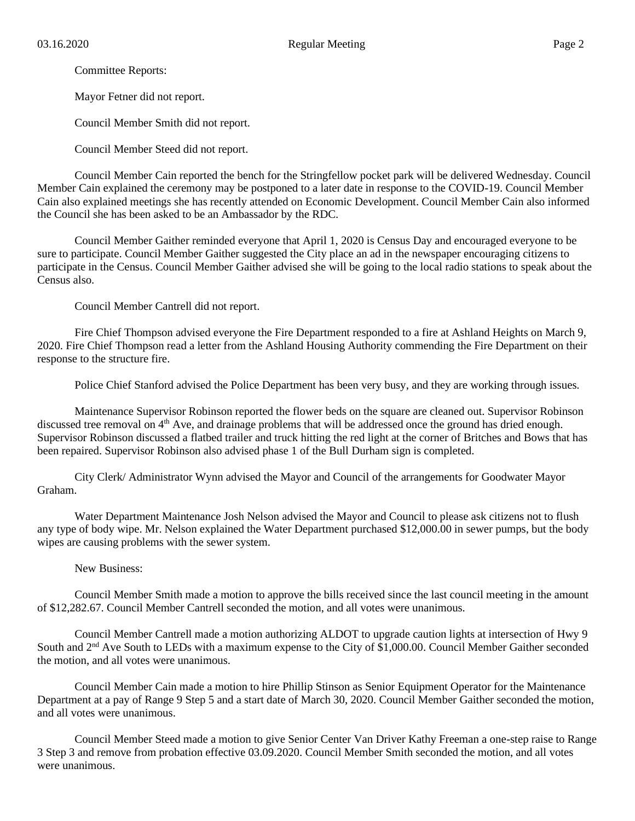Committee Reports:

Mayor Fetner did not report.

Council Member Smith did not report.

Council Member Steed did not report.

Council Member Cain reported the bench for the Stringfellow pocket park will be delivered Wednesday. Council Member Cain explained the ceremony may be postponed to a later date in response to the COVID-19. Council Member Cain also explained meetings she has recently attended on Economic Development. Council Member Cain also informed the Council she has been asked to be an Ambassador by the RDC.

Council Member Gaither reminded everyone that April 1, 2020 is Census Day and encouraged everyone to be sure to participate. Council Member Gaither suggested the City place an ad in the newspaper encouraging citizens to participate in the Census. Council Member Gaither advised she will be going to the local radio stations to speak about the Census also.

Council Member Cantrell did not report.

Fire Chief Thompson advised everyone the Fire Department responded to a fire at Ashland Heights on March 9, 2020. Fire Chief Thompson read a letter from the Ashland Housing Authority commending the Fire Department on their response to the structure fire.

Police Chief Stanford advised the Police Department has been very busy, and they are working through issues.

Maintenance Supervisor Robinson reported the flower beds on the square are cleaned out. Supervisor Robinson discussed tree removal on 4<sup>th</sup> Ave, and drainage problems that will be addressed once the ground has dried enough. Supervisor Robinson discussed a flatbed trailer and truck hitting the red light at the corner of Britches and Bows that has been repaired. Supervisor Robinson also advised phase 1 of the Bull Durham sign is completed.

City Clerk/ Administrator Wynn advised the Mayor and Council of the arrangements for Goodwater Mayor Graham.

Water Department Maintenance Josh Nelson advised the Mayor and Council to please ask citizens not to flush any type of body wipe. Mr. Nelson explained the Water Department purchased \$12,000.00 in sewer pumps, but the body wipes are causing problems with the sewer system.

New Business:

Council Member Smith made a motion to approve the bills received since the last council meeting in the amount of \$12,282.67. Council Member Cantrell seconded the motion, and all votes were unanimous.

Council Member Cantrell made a motion authorizing ALDOT to upgrade caution lights at intersection of Hwy 9 South and 2nd Ave South to LEDs with a maximum expense to the City of \$1,000.00. Council Member Gaither seconded the motion, and all votes were unanimous.

Council Member Cain made a motion to hire Phillip Stinson as Senior Equipment Operator for the Maintenance Department at a pay of Range 9 Step 5 and a start date of March 30, 2020. Council Member Gaither seconded the motion, and all votes were unanimous.

Council Member Steed made a motion to give Senior Center Van Driver Kathy Freeman a one-step raise to Range 3 Step 3 and remove from probation effective 03.09.2020. Council Member Smith seconded the motion, and all votes were unanimous.